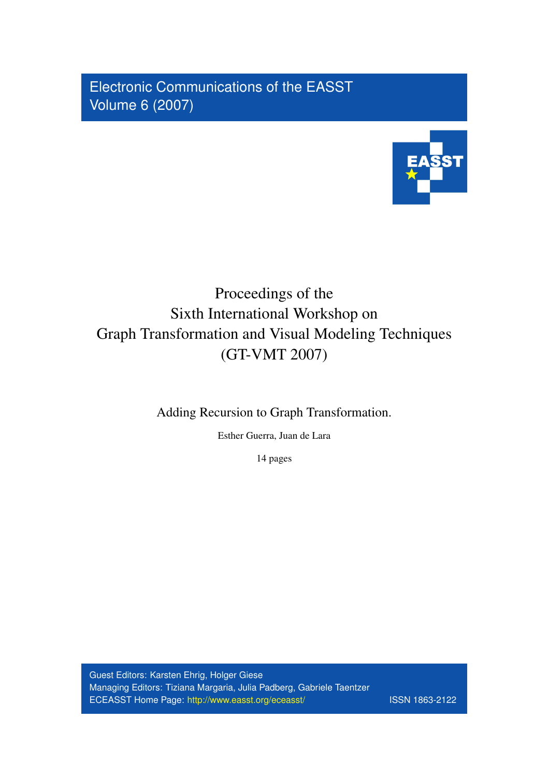Electronic Communications of the EASST Volume 6 (2007)



# Proceedings of the Sixth International Workshop on Graph Transformation and Visual Modeling Techniques (GT-VMT 2007)

Adding Recursion to Graph Transformation.

Esther Guerra, Juan de Lara

14 pages

Guest Editors: Karsten Ehrig, Holger Giese Managing Editors: Tiziana Margaria, Julia Padberg, Gabriele Taentzer ECEASST Home Page: http://www.easst.org/eceasst/ ISSN 1863-2122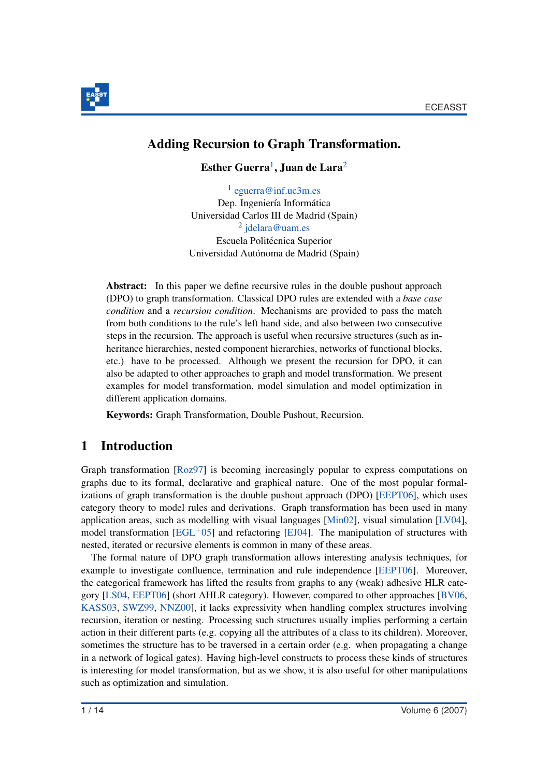

## Adding Recursion to Graph Transformation.

Esther Guerra<sup>1</sup>, Juan de Lara<sup>2</sup>

1 eguerra@inf.uc3m.es Dep. Ingeniería Informática Universidad Carlos III de Madrid (Spain) <sup>2</sup> jdelara@uam.es Escuela Politécnica Superior Universidad Autónoma de Madrid (Spain)

Abstract: In this paper we define recursive rules in the double pushout approach (DPO) to graph transformation. Classical DPO rules are extended with a *base case condition* and a *recursion condition*. Mechanisms are provided to pass the match from both conditions to the rule's left hand side, and also between two consecutive steps in the recursion. The approach is useful when recursive structures (such as inheritance hierarchies, nested component hierarchies, networks of functional blocks, etc.) have to be processed. Although we present the recursion for DPO, it can also be adapted to other approaches to graph and model transformation. We present examples for model transformation, model simulation and model optimization in different application domains.

Keywords: Graph Transformation, Double Pushout, Recursion.

## 1 Introduction

Graph transformation [Roz97] is becoming increasingly popular to express computations on graphs due to its formal, declarative and graphical nature. One of the most popular formalizations of graph transformation is the double pushout approach (DPO) [EEPT06], which uses category theory to model rules and derivations. Graph transformation has been used in many application areas, such as modelling with visual languages [Min02], visual simulation [LV04], model transformation  $[EGL^+05]$  and refactoring  $[EJ04]$ . The manipulation of structures with nested, iterated or recursive elements is common in many of these areas.

The formal nature of DPO graph transformation allows interesting analysis techniques, for example to investigate confluence, termination and rule independence [EEPT06]. Moreover, the categorical framework has lifted the results from graphs to any (weak) adhesive HLR category [LS04, EEPT06] (short AHLR category). However, compared to other approaches [BV06, KASS03, SWZ99, NNZ00], it lacks expressivity when handling complex structures involving recursion, iteration or nesting. Processing such structures usually implies performing a certain action in their different parts (e.g. copying all the attributes of a class to its children). Moreover, sometimes the structure has to be traversed in a certain order (e.g. when propagating a change in a network of logical gates). Having high-level constructs to process these kinds of structures is interesting for model transformation, but as we show, it is also useful for other manipulations such as optimization and simulation.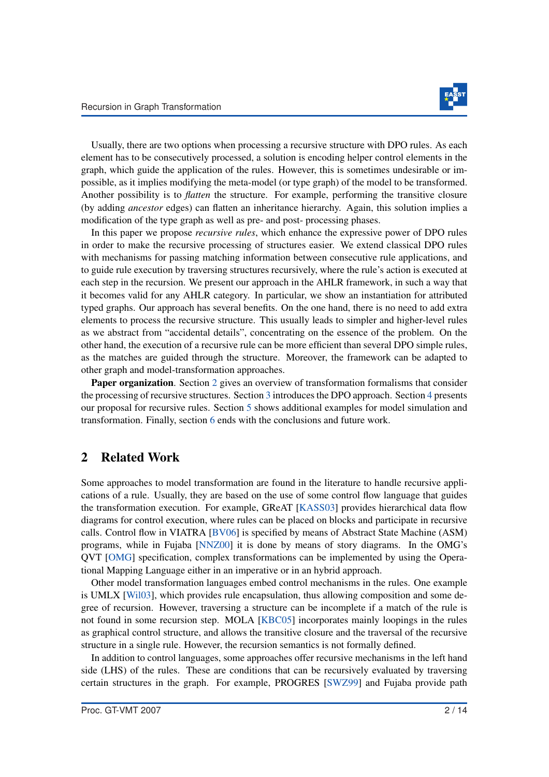

Usually, there are two options when processing a recursive structure with DPO rules. As each element has to be consecutively processed, a solution is encoding helper control elements in the graph, which guide the application of the rules. However, this is sometimes undesirable or impossible, as it implies modifying the meta-model (or type graph) of the model to be transformed. Another possibility is to *flatten* the structure. For example, performing the transitive closure (by adding *ancestor* edges) can flatten an inheritance hierarchy. Again, this solution implies a modification of the type graph as well as pre- and post- processing phases.

In this paper we propose *recursive rules*, which enhance the expressive power of DPO rules in order to make the recursive processing of structures easier. We extend classical DPO rules with mechanisms for passing matching information between consecutive rule applications, and to guide rule execution by traversing structures recursively, where the rule's action is executed at each step in the recursion. We present our approach in the AHLR framework, in such a way that it becomes valid for any AHLR category. In particular, we show an instantiation for attributed typed graphs. Our approach has several benefits. On the one hand, there is no need to add extra elements to process the recursive structure. This usually leads to simpler and higher-level rules as we abstract from "accidental details", concentrating on the essence of the problem. On the other hand, the execution of a recursive rule can be more efficient than several DPO simple rules, as the matches are guided through the structure. Moreover, the framework can be adapted to other graph and model-transformation approaches.

**Paper organization.** Section 2 gives an overview of transformation formalisms that consider the processing of recursive structures. Section 3 introduces the DPO approach. Section 4 presents our proposal for recursive rules. Section 5 shows additional examples for model simulation and transformation. Finally, section 6 ends with the conclusions and future work.

#### 2 Related Work

Some approaches to model transformation are found in the literature to handle recursive applications of a rule. Usually, they are based on the use of some control flow language that guides the transformation execution. For example, GReAT [KASS03] provides hierarchical data flow diagrams for control execution, where rules can be placed on blocks and participate in recursive calls. Control flow in VIATRA [BV06] is specified by means of Abstract State Machine (ASM) programs, while in Fujaba [NNZ00] it is done by means of story diagrams. In the OMG's QVT [OMG] specification, complex transformations can be implemented by using the Operational Mapping Language either in an imperative or in an hybrid approach.

Other model transformation languages embed control mechanisms in the rules. One example is UMLX [Wil03], which provides rule encapsulation, thus allowing composition and some degree of recursion. However, traversing a structure can be incomplete if a match of the rule is not found in some recursion step. MOLA [KBC05] incorporates mainly loopings in the rules as graphical control structure, and allows the transitive closure and the traversal of the recursive structure in a single rule. However, the recursion semantics is not formally defined.

In addition to control languages, some approaches offer recursive mechanisms in the left hand side (LHS) of the rules. These are conditions that can be recursively evaluated by traversing certain structures in the graph. For example, PROGRES [SWZ99] and Fujaba provide path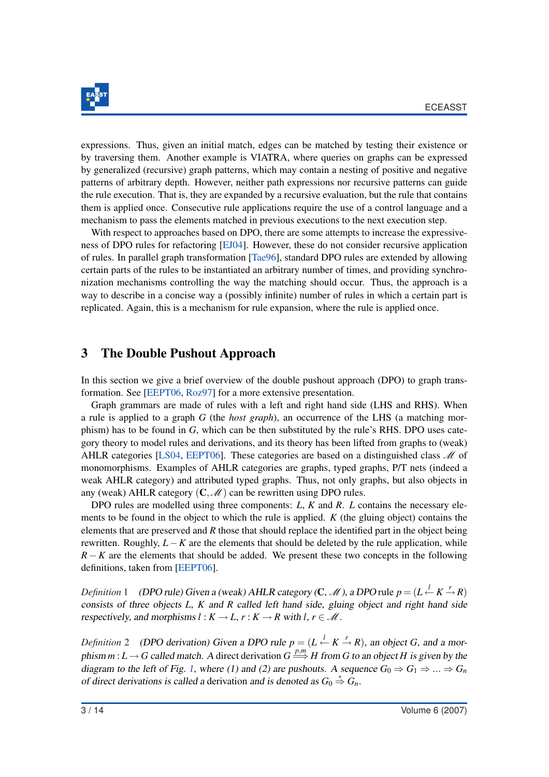

expressions. Thus, given an initial match, edges can be matched by testing their existence or by traversing them. Another example is VIATRA, where queries on graphs can be expressed by generalized (recursive) graph patterns, which may contain a nesting of positive and negative patterns of arbitrary depth. However, neither path expressions nor recursive patterns can guide the rule execution. That is, they are expanded by a recursive evaluation, but the rule that contains them is applied once. Consecutive rule applications require the use of a control language and a mechanism to pass the elements matched in previous executions to the next execution step.

With respect to approaches based on DPO, there are some attempts to increase the expressiveness of DPO rules for refactoring [EJ04]. However, these do not consider recursive application of rules. In parallel graph transformation [Tae96], standard DPO rules are extended by allowing certain parts of the rules to be instantiated an arbitrary number of times, and providing synchronization mechanisms controlling the way the matching should occur. Thus, the approach is a way to describe in a concise way a (possibly infinite) number of rules in which a certain part is replicated. Again, this is a mechanism for rule expansion, where the rule is applied once.

#### 3 The Double Pushout Approach

In this section we give a brief overview of the double pushout approach (DPO) to graph transformation. See [EEPT06, Roz97] for a more extensive presentation.

Graph grammars are made of rules with a left and right hand side (LHS and RHS). When a rule is applied to a graph *G* (the *host graph*), an occurrence of the LHS (a matching morphism) has to be found in *G*, which can be then substituted by the rule's RHS. DPO uses category theory to model rules and derivations, and its theory has been lifted from graphs to (weak) AHLR categories [LS04, EEPT06]. These categories are based on a distinguished class  $\mathcal M$  of monomorphisms. Examples of AHLR categories are graphs, typed graphs, P/T nets (indeed a weak AHLR category) and attributed typed graphs. Thus, not only graphs, but also objects in any (weak) AHLR category  $(C, \mathcal{M})$  can be rewritten using DPO rules.

DPO rules are modelled using three components: *L*, *K* and *R*. *L* contains the necessary elements to be found in the object to which the rule is applied. *K* (the gluing object) contains the elements that are preserved and *R* those that should replace the identified part in the object being rewritten. Roughly, *L*−*K* are the elements that should be deleted by the rule application, while *R* − *K* are the elements that should be added. We present these two concepts in the following definitions, taken from [EEPT06].

*Definition* 1 (*DPO rule)* Given a (weak) AHLR category (**C**, *M*), a DPO rule  $p = (L \stackrel{l}{\leftarrow} K \stackrel{r}{\rightarrow} R)$ consists of three objects *L*, *K* and *R* called left hand side, gluing object and right hand side respectively, and morphisms  $l : K \to L$ ,  $r : K \to R$  with  $l, r \in M$ .

*Definition* 2 (DPO derivation) Given a DPO rule  $p = (L \stackrel{l}{\leftarrow} K \stackrel{r}{\rightarrow} R)$ , an object *G*, and a morphism  $m: L \to G$  called match. A direct derivation  $G \stackrel{p,m}{\Longrightarrow} H$  from G to an object *H* is given by the diagram to the left of Fig. 1, where (1) and (2) are pushouts. A sequence  $G_0 \Rightarrow G_1 \Rightarrow ... \Rightarrow G_n$ of direct derivations is called a derivation and is denoted as  $G_0 \stackrel{*}{\Rightarrow} G_n$ .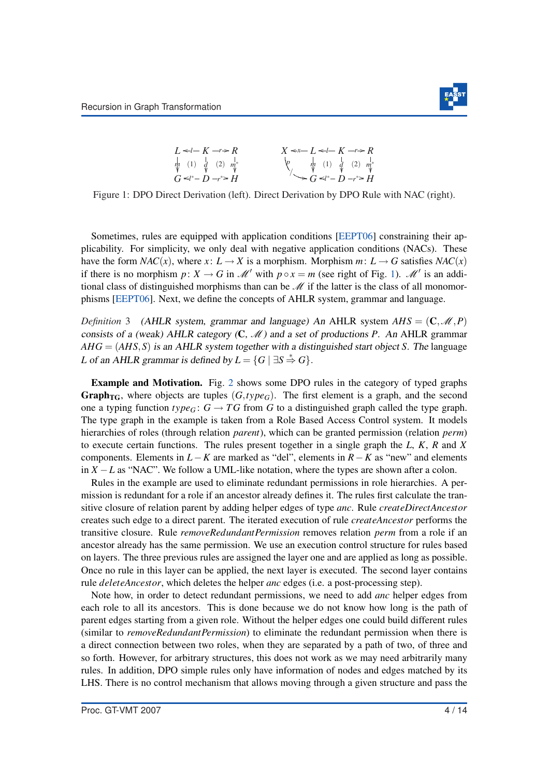

Figure 1: DPO Direct Derivation (left). Direct Derivation by DPO Rule with NAC (right).

Sometimes, rules are equipped with application conditions [EEPT06] constraining their applicability. For simplicity, we only deal with negative application conditions (NACs). These have the form *NAC*(*x*), where *x*:  $L \rightarrow X$  is a morphism. Morphism *m*:  $L \rightarrow G$  satisfies *NAC*(*x*) if there is no morphism  $p: X \to G$  in  $\mathcal{M}'$  with  $p \circ x = m$  (see right of Fig. 1).  $\mathcal{M}'$  is an additional class of distinguished morphisms than can be  $M$  if the latter is the class of all monomorphisms [EEPT06]. Next, we define the concepts of AHLR system, grammar and language.

*Definition* 3 (AHLR system, grammar and language) An AHLR system  $AHS = (\mathbf{C}, \mathcal{M}, P)$ consists of a (weak) AHLR category  $(C, M)$  and a set of productions *P*. An AHLR grammar *AHG* = (*AHS*,*S*) is an AHLR system together with <sup>a</sup> distinguished start object *S*. The language *L* of an AHLR grammar is defined by  $L = \{G \mid \exists S \stackrel{*}{\Rightarrow} G\}.$ 

Example and Motivation. Fig. 2 shows some DPO rules in the category of typed graphs **Graph**<sub>TG</sub>, where objects are tuples  $(G, type_G)$ . The first element is a graph, and the second one a typing function  $type_G$ :  $G \rightarrow TG$  from *G* to a distinguished graph called the type graph. The type graph in the example is taken from a Role Based Access Control system. It models hierarchies of roles (through relation *parent*), which can be granted permission (relation *perm*) to execute certain functions. The rules present together in a single graph the *L*, *K*, *R* and *X* components. Elements in *L*−*K* are marked as "del", elements in *R*−*K* as "new" and elements in  $X - L$  as "NAC". We follow a UML-like notation, where the types are shown after a colon.

Rules in the example are used to eliminate redundant permissions in role hierarchies. A permission is redundant for a role if an ancestor already defines it. The rules first calculate the transitive closure of relation parent by adding helper edges of type *anc*. Rule *createDirectAncestor* creates such edge to a direct parent. The iterated execution of rule *createAncestor* performs the transitive closure. Rule *removeRedundantPermission* removes relation *perm* from a role if an ancestor already has the same permission. We use an execution control structure for rules based on layers. The three previous rules are assigned the layer one and are applied as long as possible. Once no rule in this layer can be applied, the next layer is executed. The second layer contains rule *deleteAncestor*, which deletes the helper *anc* edges (i.e. a post-processing step).

Note how, in order to detect redundant permissions, we need to add *anc* helper edges from each role to all its ancestors. This is done because we do not know how long is the path of parent edges starting from a given role. Without the helper edges one could build different rules (similar to *removeRedundantPermission*) to eliminate the redundant permission when there is a direct connection between two roles, when they are separated by a path of two, of three and so forth. However, for arbitrary structures, this does not work as we may need arbitrarily many rules. In addition, DPO simple rules only have information of nodes and edges matched by its LHS. There is no control mechanism that allows moving through a given structure and pass the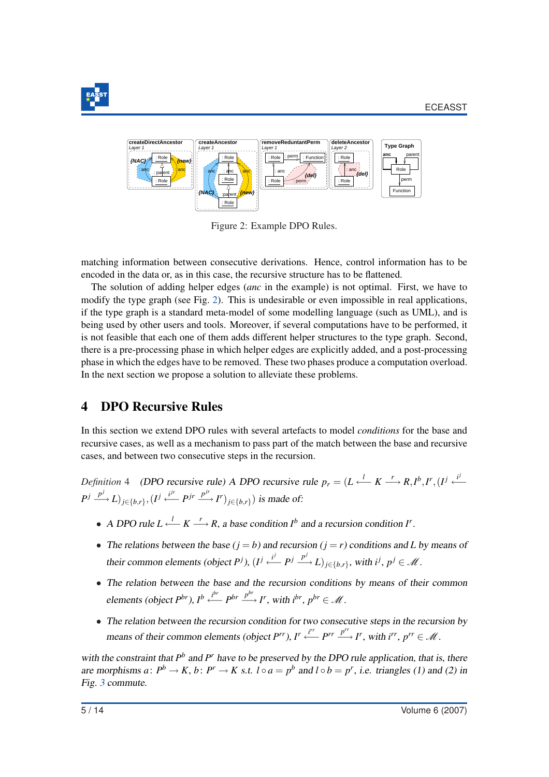



Figure 2: Example DPO Rules.

matching information between consecutive derivations. Hence, control information has to be encoded in the data or, as in this case, the recursive structure has to be flattened.

The solution of adding helper edges (*anc* in the example) is not optimal. First, we have to modify the type graph (see Fig. 2). This is undesirable or even impossible in real applications, if the type graph is a standard meta-model of some modelling language (such as UML), and is being used by other users and tools. Moreover, if several computations have to be performed, it is not feasible that each one of them adds different helper structures to the type graph. Second, there is a pre-processing phase in which helper edges are explicitly added, and a post-processing phase in which the edges have to be removed. These two phases produce a computation overload. In the next section we propose a solution to alleviate these problems.

## 4 DPO Recursive Rules

In this section we extend DPO rules with several artefacts to model *conditions* for the base and recursive cases, as well as a mechanism to pass part of the match between the base and recursive cases, and between two consecutive steps in the recursion.

*Definition* 4 (DPO recursive rule) <sup>A</sup> DPO recursive rule *p<sup>r</sup>* = (*L <sup>l</sup>* ←− *K <sup>r</sup>* −→ *R*,*I b* ,*I r* ,(*I j i j* ←−  $P^j \xrightarrow{p^j} L$ )<sub>*j*∈{*b*,*r*}</sub></sub>, (*I*<sup>*j*</sup> *i*<sup>*jr*</sup> *P*<sup>*jr*</sup> *P<sup>ir</sup>*  $\xrightarrow{p^{jr}} P$ *<sup><i>j*</sup> )<sub>*j*∈{*b*,*r*}</sub>) is made of:

- A DPO rule  $L \xleftarrow{l} K \longrightarrow R$ , a base condition  $I^b$  and a recursion condition  $I^r$ .
- The relations between the base  $(i = b)$  and recursion  $(i = r)$  conditions and *L* by means of their common elements (object *P*<sup>j</sup>),  $(I^j \stackrel{i^j}{\longleftarrow} P^j \stackrel{p^j}{\longrightarrow} L)_{j \in \{b, r\}}$ , with  $i^j, p^j \in \mathcal{M}$ .
- The relation between the base and the recursion conditions by means of their common elements (object  $P^{br}$ ),  $I^b \xleftarrow{i^{br}} P^{br} \xrightarrow{P^{br}} I^r$ , with  $i^{br}$ ,  $p^{br} \in \mathcal{M}$ .
- The relation between the recursion condition for two consecutive steps in the recursion by means of their common elements (object  $P^{rr}$ ),  $I^r \xleftarrow{i^{rr}} P^{rr} \xrightarrow{p^{rr}} I^r$ , with  $i^{rr}$ ,  $p^{rr} \in \mathcal{M}$ .

with the constraint that  $P^b$  and  $P^r$  have to be preserved by the DPO rule application, that is, there are morphisms  $a: P^b \to K$ ,  $b: P^r \to K$  s.t.  $l \circ a = p^b$  and  $l \circ b = p^r$ , i.e. triangles (1) and (2) in Fig. 3 commute.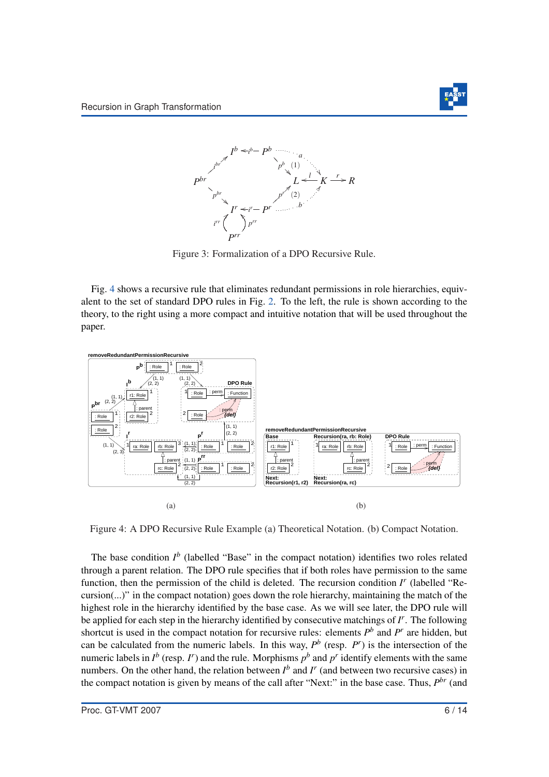



Figure 3: Formalization of a DPO Recursive Rule.

Fig. 4 shows a recursive rule that eliminates redundant permissions in role hierarchies, equivalent to the set of standard DPO rules in Fig. 2. To the left, the rule is shown according to the theory, to the right using a more compact and intuitive notation that will be used throughout the paper.



Figure 4: A DPO Recursive Rule Example (a) Theoretical Notation. (b) Compact Notation.

The base condition  $I^b$  (labelled "Base" in the compact notation) identifies two roles related through a parent relation. The DPO rule specifies that if both roles have permission to the same function, then the permission of the child is deleted. The recursion condition *I'* (labelled "Recursion(...)" in the compact notation) goes down the role hierarchy, maintaining the match of the highest role in the hierarchy identified by the base case. As we will see later, the DPO rule will be applied for each step in the hierarchy identified by consecutive matchings of *I r* . The following shortcut is used in the compact notation for recursive rules: elements  $P<sup>b</sup>$  and  $P<sup>r</sup>$  are hidden, but can be calculated from the numeric labels. In this way,  $P^b$  (resp.  $P^r$ ) is the intersection of the numeric labels in  $I^b$  (resp.  $I^r$ ) and the rule. Morphisms  $p^b$  and  $p^r$  identify elements with the same numbers. On the other hand, the relation between  $I^b$  and  $I^r$  (and between two recursive cases) in the compact notation is given by means of the call after "Next:" in the base case. Thus,  $P^{br}$  (and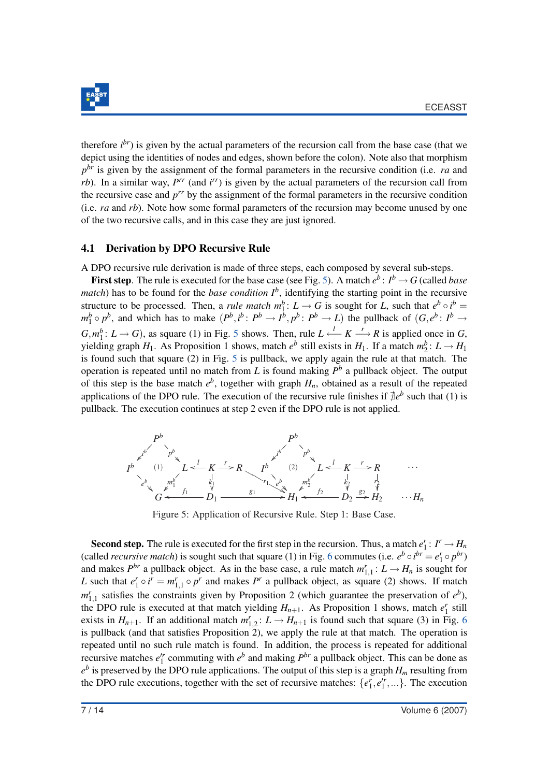

therefore *i br*) is given by the actual parameters of the recursion call from the base case (that we depict using the identities of nodes and edges, shown before the colon). Note also that morphism *p br* is given by the assignment of the formal parameters in the recursive condition (i.e. *ra* and *rb*). In a similar way, *P<sup>rr</sup>* (and *i<sup>rr</sup>*) is given by the actual parameters of the recursion call from the recursive case and *p rr* by the assignment of the formal parameters in the recursive condition (i.e. *ra* and *rb*). Note how some formal parameters of the recursion may become unused by one of the two recursive calls, and in this case they are just ignored.

#### 4.1 Derivation by DPO Recursive Rule

A DPO recursive rule derivation is made of three steps, each composed by several sub-steps.

**First step**. The rule is executed for the base case (see Fig. 5). A match  $e^b$ :  $I^b \rightarrow G$  (called *base match*) has to be found for the *base condition*  $I^b$ , identifying the starting point in the recursive structure to be processed. Then, a *rule match*  $m_1^b: L \to G$  is sought for *L*, such that  $e^b \circ i^b =$  $m_1^b \circ p^b$ , and which has to make  $(P^b, i^b : P^b \to I^{\overline{b}}, p^b : P^b \to L)$  the pullback of  $(G, e^b : I^b \to I^b)$  $G, m_1^b: L \to G$ ), as square (1) in Fig. 5 shows. Then, rule  $L \xleftarrow{l} K \xrightarrow{r} R$  is applied once in *G*, yielding graph  $H_1$ . As Proposition 1 shows, match  $e^b$  still exists in  $H_1$ . If a match  $m_2^b: L \to H_1$ is found such that square (2) in Fig. 5 is pullback, we apply again the rule at that match. The operation is repeated until no match from *L* is found making  $P<sup>b</sup>$  a pullback object. The output of this step is the base match  $e^b$ , together with graph  $H_n$ , obtained as a result of the repeated applications of the DPO rule. The execution of the recursive rule finishes if  $\bar{\theta}e^{b}$  such that (1) is pullback. The execution continues at step 2 even if the DPO rule is not applied.



Figure 5: Application of Recursive Rule. Step 1: Base Case.

Second step. The rule is executed for the first step in the recursion. Thus, a match  $e_1^r: I^r \to H_n$ (called *recursive match*) is sought such that square (1) in Fig. 6 commutes (i.e.  $e^b \circ i^{br} = e_1^r \circ p^{br}$ ) and makes  $P^{br}$  a pullback object. As in the base case, a rule match  $m_{1,1}^r: L \to H_n$  is sought for *L* such that  $e_1^r \circ i^r = m_{1,1}^r \circ p^r$  and makes  $P^r$  a pullback object, as square (2) shows. If match  $m_{1,1}^r$  satisfies the constraints given by Proposition 2 (which guarantee the preservation of  $e^b$ ), the DPO rule is executed at that match yielding  $H_{n+1}$ . As Proposition 1 shows, match  $e_1^r$  still exists in  $H_{n+1}$ . If an additional match  $m_{1,2}^r: L \to H_{n+1}$  is found such that square (3) in Fig. 6 is pullback (and that satisfies Proposition 2), we apply the rule at that match. The operation is repeated until no such rule match is found. In addition, the process is repeated for additional recursive matches  $e_1^r$  commuting with  $e^b$  and making  $P^{br}$  a pullback object. This can be done as  $e^b$  is preserved by the DPO rule applications. The output of this step is a graph  $H_m$  resulting from the DPO rule executions, together with the set of recursive matches:  $\{e_1^r, e_1^r, ...\}$ . The execution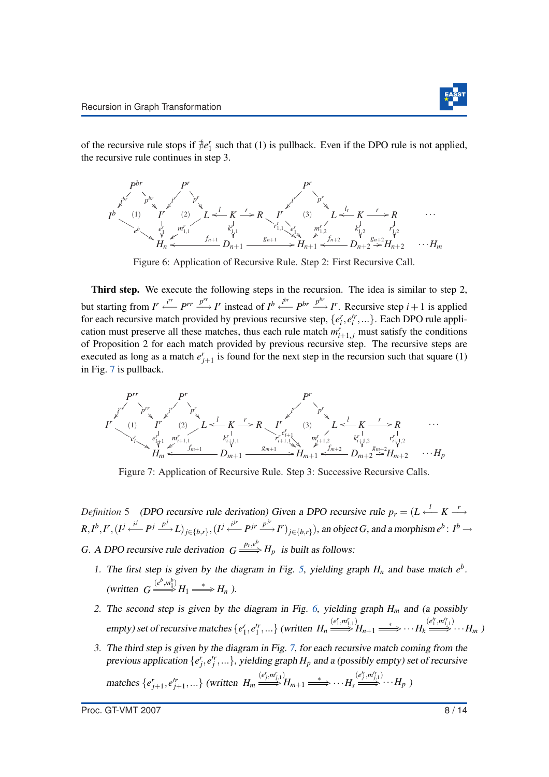of the recursive rule stops if  $\neq e_1^r$  such that (1) is pullback. Even if the DPO rule is not applied, the recursive rule continues in step 3.



Figure 6: Application of Recursive Rule. Step 2: First Recursive Call.

Third step. We execute the following steps in the recursion. The idea is similar to step 2, but starting from  $I' \stackrel{i''}{\longleftarrow} P^{rr} \stackrel{p^{rr}}{\longrightarrow} I'$  instead of  $I^b \stackrel{i^{br}}{\longleftarrow} P^{br} \stackrel{p^{br}}{\longrightarrow} I'$ . Recursive step  $i+1$  is applied for each recursive match provided by previous recursive step,  $\{e_i^r, e_i^r, ...\}$ . Each DPO rule application must preserve all these matches, thus each rule match  $m_{i+1,j}^r$  must satisfy the conditions of Proposition 2 for each match provided by previous recursive step. The recursive steps are executed as long as a match  $e_{j+1}^r$  is found for the next step in the recursion such that square (1) in Fig. 7 is pullback.

$$
P^{rr}
$$
\n
$$
P^{rr}
$$
\n
$$
P^{rr}
$$
\n
$$
P^{rr}
$$
\n
$$
P^{rr}
$$
\n
$$
P^{rr}
$$
\n
$$
P^{rr}
$$
\n
$$
P^{rr}
$$
\n
$$
P^{rr}
$$
\n
$$
P^{rr}
$$
\n
$$
P^{rr}
$$
\n
$$
P^{rr}
$$
\n
$$
P^{rr}
$$
\n
$$
P^{rr}
$$
\n
$$
P^{rr}
$$
\n
$$
P^{rr}
$$
\n
$$
P^{rr}
$$
\n
$$
P^{rr}
$$
\n
$$
P^{rr}
$$
\n
$$
P^{rr}
$$
\n
$$
P^{rr}
$$
\n
$$
P^{rr}
$$
\n
$$
P^{rr}
$$
\n
$$
P^{rr}
$$
\n
$$
P^{rr}
$$
\n
$$
P^{rr}
$$
\n
$$
P^{rr}
$$
\n
$$
P^{rr}
$$
\n
$$
P^{rr}
$$
\n
$$
P^{rr}
$$
\n
$$
P^{rr}
$$
\n
$$
P^{rr}
$$
\n
$$
P^{rr}
$$
\n
$$
P^{rr}
$$
\n
$$
P^{rr}
$$
\n
$$
P^{rr}
$$
\n
$$
P^{rr}
$$
\n
$$
P^{rr}
$$
\n
$$
P^{rr}
$$
\n
$$
P^{rr}
$$
\n
$$
P^{rr}
$$
\n
$$
P^{rr}
$$
\n
$$
P^{rr}
$$
\n
$$
P^{rr}
$$
\n
$$
P^{rr}
$$
\n
$$
P^{rr}
$$
\n
$$
P^{rr}
$$
\n
$$
P^{rr}
$$
\n
$$
P^{rr}
$$
\n
$$
P^{rr}
$$
\n
$$
P^{rr}
$$
\n
$$
P^{rr}
$$
\n
$$
P^{rr}
$$
\n
$$
P^{rr}
$$
\n
$$
P^{rr}
$$
\n
$$
P^{rr}
$$
\n
$$
P^{rr}
$$
\n
$$
P^{rr}
$$
\n
$$
P^{rr}
$$

Figure 7: Application of Recursive Rule. Step 3: Successive Recursive Calls.

*Definition* 5 (DPO recursive rule derivation) Given a DPO recursive rule  $p_r = (L \stackrel{l}{\leftarrow} K \stackrel{r}{\longrightarrow} K)$  $R, I^b, I^r, (I^j \stackrel{i^j}{\longleftarrow} P^j \stackrel{p^j}{\longrightarrow} L)_{j \in \{b, r\}}, (I^j \stackrel{i^{jr}}{\longleftarrow} P^{jr} \stackrel{p^{jr}}{\longrightarrow} I^r)_{j \in \{b, r\}},$  an object G, and a morphism  $e^b: I^b \rightarrow$ *G*. A DPO recursive rule derivation  $G \xrightarrow{p_r,e^b} H_p$  is built as follows:

- 1. The first step is given by the diagram in Fig. 5, yielding graph  $H_n$  and base match  $e^b$ . (written  $G \stackrel{(e^b, m_1^b)}{\Longrightarrow} H_1 \stackrel{*}{\Longrightarrow} H_n$ ).
- 2. The second step is given by the diagram in Fig. 6, yielding graph  $H_m$  and (a possibly empty) set of recursive matches  $\{e_1^r, e_1'^r, ...\}$  (written  $H_n \stackrel{(e_1^r,m_{1,1}^r)}{\Longrightarrow} H_{n+1} \stackrel{*}{\Longrightarrow} \cdots H_k \stackrel{(e_1^r,m_{1,1}^r)}{\Longrightarrow} \cdots H_m$ )
- 3. The third step is given by the diagram in Fig. 7, for each recursive match coming from the previous application  $\{e_j^r, e_j^r, ...\}$ , yielding graph  $H_p$  and a (possibly empty) set of recursive matches  $\{e'_{j+1}, e'^{r}_{j+1}, ...\}$  (written  $H_m \stackrel{(e^r_j, m^r_{j,1})}{\Longrightarrow} H_{m+1} \stackrel{*}{\Longrightarrow} \cdots H_s \stackrel{(e'^r_j, m^{r}_{j,1})}{\Longrightarrow} \cdots H_p$ )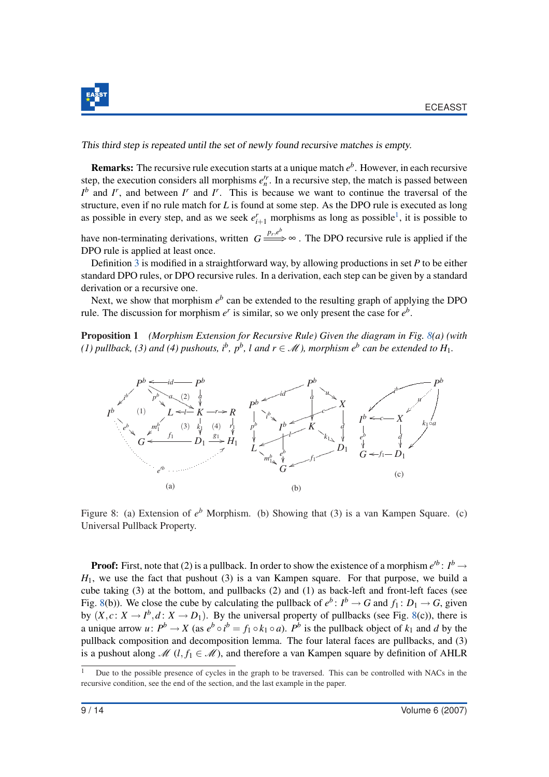

This third step is repeated until the set of newly found recursive matches is empty.

**Remarks:** The recursive rule execution starts at a unique match  $e^b$ . However, in each recursive step, the execution considers all morphisms  $e_n^{\prime r}$ . In a recursive step, the match is passed between  $I^b$  and *I*<sup>*r*</sup>, and between *I<sup><i>r*</sup> and *I<sup><i>r*</sup>. This is because we want to continue the traversal of the structure, even if no rule match for *L* is found at some step. As the DPO rule is executed as long as possible in every step, and as we seek  $e_{i+1}^r$  morphisms as long as possible<sup>1</sup>, it is possible to

have non-terminating derivations, written  $G \stackrel{p_r,e^b}{\longrightarrow} \infty$ . The DPO recursive rule is applied if the DPO rule is applied at least once.

Definition 3 is modified in a straightforward way, by allowing productions in set *P* to be either standard DPO rules, or DPO recursive rules. In a derivation, each step can be given by a standard derivation or a recursive one.

Next, we show that morphism  $e^b$  can be extended to the resulting graph of applying the DPO rule. The discussion for morphism  $e^r$  is similar, so we only present the case for  $e^b$ .

Proposition 1 *(Morphism Extension for Recursive Rule) Given the diagram in Fig. 8(a) (with (1)* pullback, (3) and (4) pushouts,  $i^b$ ,  $p^b$ , l and  $r \in \mathcal{M}$ ), morphism  $e^b$  can be extended to  $H_1$ .



Figure 8: (a) Extension of  $e^b$  Morphism. (b) Showing that (3) is a van Kampen Square. (c) Universal Pullback Property.

**Proof:** First, note that (2) is a pullback. In order to show the existence of a morphism  $e^{b}$ :  $I^b \rightarrow$  $H_1$ , we use the fact that pushout (3) is a van Kampen square. For that purpose, we build a cube taking (3) at the bottom, and pullbacks (2) and (1) as back-left and front-left faces (see Fig. 8(b)). We close the cube by calculating the pullback of  $e^b$ :  $I^b \to G$  and  $f_1: D_1 \to G$ , given by  $(X, c: X \to I^b, d: X \to D_1)$ . By the universal property of pullbacks (see Fig. 8(c)), there is a unique arrow *u*:  $P^b \rightarrow X$  (as  $e^b \circ i^b = f_1 \circ k_1 \circ a$ ).  $P^b$  is the pullback object of  $k_1$  and *d* by the pullback composition and decomposition lemma. The four lateral faces are pullbacks, and (3) is a pushout along  $\mathcal{M}$  (*l*, *f*<sub>1</sub>  $\in \mathcal{M}$ ), and therefore a van Kampen square by definition of AHLR

 $\overline{1}$  Due to the possible presence of cycles in the graph to be traversed. This can be controlled with NACs in the recursive condition, see the end of the section, and the last example in the paper.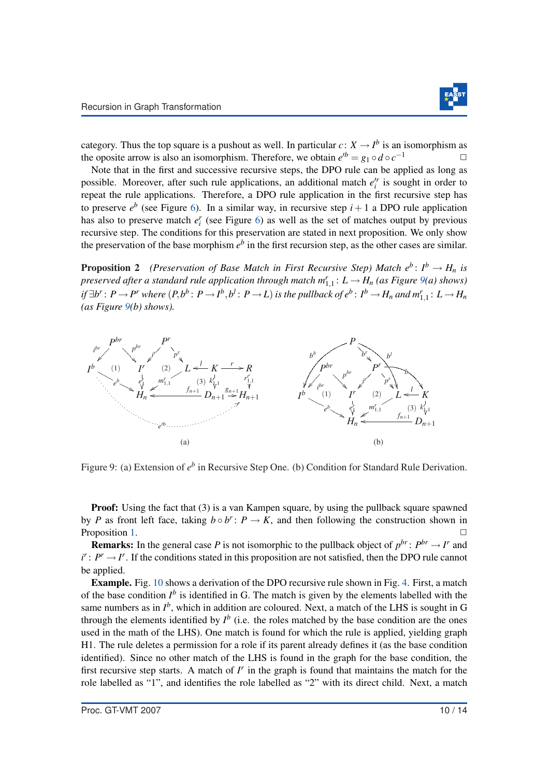

category. Thus the top square is a pushout as well. In particular  $c: X \to I^b$  is an isomorphism as the oposite arrow is also an isomorphism. Therefore, we obtain  $e^{b} = g_1 \circ d \circ c^{-1}$ 

Note that in the first and successive recursive steps, the DPO rule can be applied as long as possible. Moreover, after such rule applications, an additional match  $e_i^r$  is sought in order to repeat the rule applications. Therefore, a DPO rule application in the first recursive step has to preserve  $e^b$  (see Figure 6). In a similar way, in recursive step  $i+1$  a DPO rule application has also to preserve match  $e_i^r$  (see Figure 6) as well as the set of matches output by previous recursive step. The conditions for this preservation are stated in next proposition. We only show the preservation of the base morphism  $e^b$  in the first recursion step, as the other cases are similar.

**Proposition 2** *(Preservation of Base Match in First Recursive Step) Match*  $e^b: I^b \to H_n$  *is*  $p$ reserved after a standard rule application through match  $m_{1,1}^r: L \to H_n$  (as Figure 9(a) shows) if  $\exists b^r\colon P\to P^r$  where  $(P,b^b\colon P\to I^b,b^l\colon P\to L)$  is the pullback of  $e^b\colon I^b\to H_n$  and  $m_{1,1}^r\colon L\to H_n$ *(as Figure 9(b) shows).*



Figure 9: (a) Extension of  $e^b$  in Recursive Step One. (b) Condition for Standard Rule Derivation.

**Proof:** Using the fact that (3) is a van Kampen square, by using the pullback square spawned by *P* as front left face, taking  $b \circ b^r$ :  $P \to K$ , and then following the construction shown in Proposition 1.

**Remarks:** In the general case *P* is not isomorphic to the pullback object of  $p^{br}$ :  $P^{br} \rightarrow I^r$  and  $i^r: P^r \to I^r$ . If the conditions stated in this proposition are not satisfied, then the DPO rule cannot be applied.

Example. Fig. 10 shows a derivation of the DPO recursive rule shown in Fig. 4. First, a match of the base condition  $I^b$  is identified in G. The match is given by the elements labelled with the same numbers as in  $I^b$ , which in addition are coloured. Next, a match of the LHS is sought in G through the elements identified by  $I^b$  (i.e. the roles matched by the base condition are the ones used in the math of the LHS). One match is found for which the rule is applied, yielding graph H1. The rule deletes a permission for a role if its parent already defines it (as the base condition identified). Since no other match of the LHS is found in the graph for the base condition, the first recursive step starts. A match of  $I<sup>r</sup>$  in the graph is found that maintains the match for the role labelled as "1", and identifies the role labelled as "2" with its direct child. Next, a match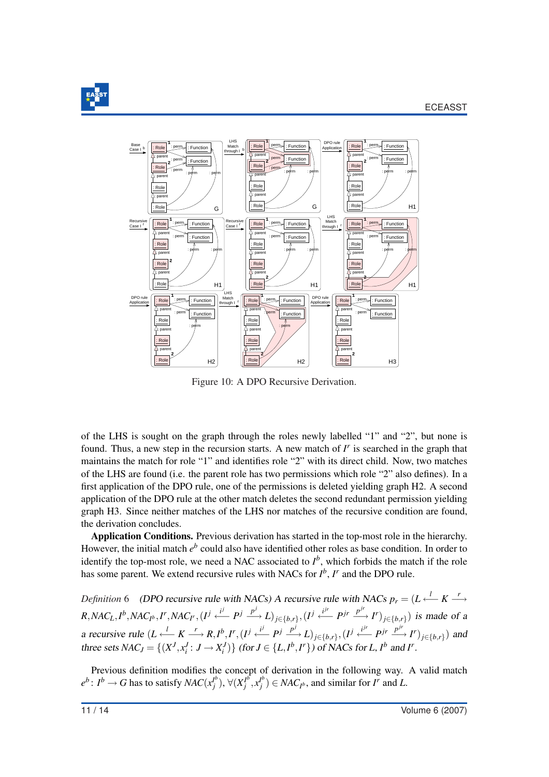



Figure 10: A DPO Recursive Derivation.

of the LHS is sought on the graph through the roles newly labelled "1" and "2", but none is found. Thus, a new step in the recursion starts. A new match of *I'* is searched in the graph that maintains the match for role "1" and identifies role "2" with its direct child. Now, two matches of the LHS are found (i.e. the parent role has two permissions which role "2" also defines). In a first application of the DPO rule, one of the permissions is deleted yielding graph H2. A second application of the DPO rule at the other match deletes the second redundant permission yielding graph H3. Since neither matches of the LHS nor matches of the recursive condition are found, the derivation concludes.

Application Conditions. Previous derivation has started in the top-most role in the hierarchy. However, the initial match  $e^b$  could also have identified other roles as base condition. In order to identify the top-most role, we need a NAC associated to  $I^b$ , which forbids the match if the role has some parent. We extend recursive rules with NACs for  $I^b$ ,  $I^r$  and the DPO rule.

*Definition* 6 (DPO recursive rule with NACs) A recursive rule with NACs  $p_r = (L \stackrel{l}{\leftarrow} K \stackrel{r}{\longrightarrow} K)$  $R, NAC_L, I^b, NAC_{I^b}, I^r, NAC_{I^r}, (I^j \stackrel{i^j}{\longleftarrow} P^j \stackrel{p^j}{\longrightarrow} L)_{j \in \{b, r\}}, (I^j \stackrel{i^{jr}}{\longleftarrow} P^{jr} \stackrel{p^{jr}}{\longrightarrow} I^r)_{j \in \{b, r\}})$  is made of a a recursive rule  $(L \stackrel{l}{\longleftarrow} K \stackrel{r}{\longrightarrow} R, I^b, I^r, (I^j \stackrel{i^j}{\longleftarrow} P^j \stackrel{p^j}{\longrightarrow} L)_{j \in \{b, r\}}, (I^j \stackrel{i^{jr}}{\longleftarrow} P^{jr} \stackrel{p^{jr}}{\longrightarrow} I^r)_{j \in \{b, r\}})$  and three sets  $NAC_J = \{(X^J, x_i^J : J \rightarrow X_i^J)\}$  (for  $J \in \{L, I^b, I^r\}$ ) of NACs for L,  $I^b$  and  $I^r$ .

Previous definition modifies the concept of derivation in the following way. A valid match  $e^{b}$ :  $I^{b} \rightarrow G$  has to satisfy *NAC*( $x_i^{b}$ )  $\bigvee^b_j$ ),  $\forall (X^{I^b}_j)$  $I^b$ <sub>*j*</sub> $x_j^{I^b}$  $f_j^{(b)}$   $\in$  *NAC*<sub>*I*</sub><sup>*b*</sup>, and similar for *I<sup>r</sup>* and *L*.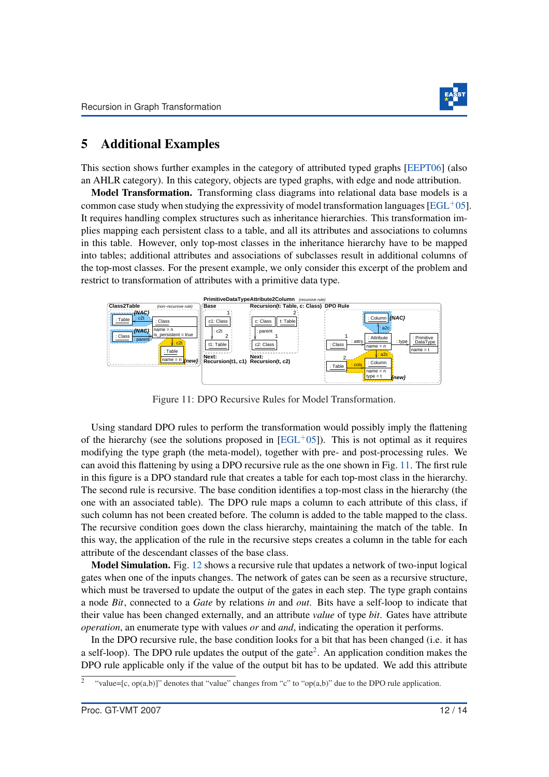

#### 5 Additional Examples

This section shows further examples in the category of attributed typed graphs [EEPT06] (also an AHLR category). In this category, objects are typed graphs, with edge and node attribution.

**Model Transformation.** Transforming class diagrams into relational data base models is a common case study when studying the expressivity of model transformation languages [EGL+05]. It requires handling complex structures such as inheritance hierarchies. This transformation implies mapping each persistent class to a table, and all its attributes and associations to columns in this table. However, only top-most classes in the inheritance hierarchy have to be mapped into tables; additional attributes and associations of subclasses result in additional columns of the top-most classes. For the present example, we only consider this excerpt of the problem and restrict to transformation of attributes with a primitive data type.



Figure 11: DPO Recursive Rules for Model Transformation.

Using standard DPO rules to perform the transformation would possibly imply the flattening of the hierarchy (see the solutions proposed in  $[EGL^{+}05]$ ). This is not optimal as it requires modifying the type graph (the meta-model), together with pre- and post-processing rules. We can avoid this flattening by using a DPO recursive rule as the one shown in Fig. 11. The first rule in this figure is a DPO standard rule that creates a table for each top-most class in the hierarchy. The second rule is recursive. The base condition identifies a top-most class in the hierarchy (the one with an associated table). The DPO rule maps a column to each attribute of this class, if such column has not been created before. The column is added to the table mapped to the class. The recursive condition goes down the class hierarchy, maintaining the match of the table. In this way, the application of the rule in the recursive steps creates a column in the table for each attribute of the descendant classes of the base class.

Model Simulation. Fig. 12 shows a recursive rule that updates a network of two-input logical gates when one of the inputs changes. The network of gates can be seen as a recursive structure, which must be traversed to update the output of the gates in each step. The type graph contains a node *Bit*, connected to a *Gate* by relations *in* and *out*. Bits have a self-loop to indicate that their value has been changed externally, and an attribute *value* of type *bit*. Gates have attribute *operation*, an enumerate type with values *or* and *and*, indicating the operation it performs.

In the DPO recursive rule, the base condition looks for a bit that has been changed (i.e. it has a self-loop). The DPO rule updates the output of the gate<sup>2</sup>. An application condition makes the DPO rule applicable only if the value of the output bit has to be updated. We add this attribute

<sup>2</sup> "value=[c, op(a,b)]" denotes that "value" changes from "c" to "op(a,b)" due to the DPO rule application.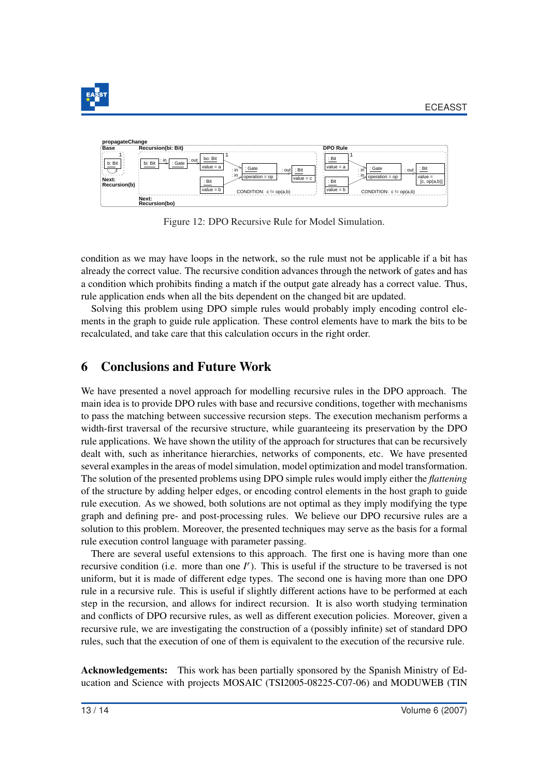



Figure 12: DPO Recursive Rule for Model Simulation.

condition as we may have loops in the network, so the rule must not be applicable if a bit has already the correct value. The recursive condition advances through the network of gates and has a condition which prohibits finding a match if the output gate already has a correct value. Thus, rule application ends when all the bits dependent on the changed bit are updated.

Solving this problem using DPO simple rules would probably imply encoding control elements in the graph to guide rule application. These control elements have to mark the bits to be recalculated, and take care that this calculation occurs in the right order.

### 6 Conclusions and Future Work

We have presented a novel approach for modelling recursive rules in the DPO approach. The main idea is to provide DPO rules with base and recursive conditions, together with mechanisms to pass the matching between successive recursion steps. The execution mechanism performs a width-first traversal of the recursive structure, while guaranteeing its preservation by the DPO rule applications. We have shown the utility of the approach for structures that can be recursively dealt with, such as inheritance hierarchies, networks of components, etc. We have presented several examples in the areas of model simulation, model optimization and model transformation. The solution of the presented problems using DPO simple rules would imply either the *flattening* of the structure by adding helper edges, or encoding control elements in the host graph to guide rule execution. As we showed, both solutions are not optimal as they imply modifying the type graph and defining pre- and post-processing rules. We believe our DPO recursive rules are a solution to this problem. Moreover, the presented techniques may serve as the basis for a formal rule execution control language with parameter passing.

There are several useful extensions to this approach. The first one is having more than one recursive condition (i.e. more than one *I r* ). This is useful if the structure to be traversed is not uniform, but it is made of different edge types. The second one is having more than one DPO rule in a recursive rule. This is useful if slightly different actions have to be performed at each step in the recursion, and allows for indirect recursion. It is also worth studying termination and conflicts of DPO recursive rules, as well as different execution policies. Moreover, given a recursive rule, we are investigating the construction of a (possibly infinite) set of standard DPO rules, such that the execution of one of them is equivalent to the execution of the recursive rule.

Acknowledgements: This work has been partially sponsored by the Spanish Ministry of Education and Science with projects MOSAIC (TSI2005-08225-C07-06) and MODUWEB (TIN